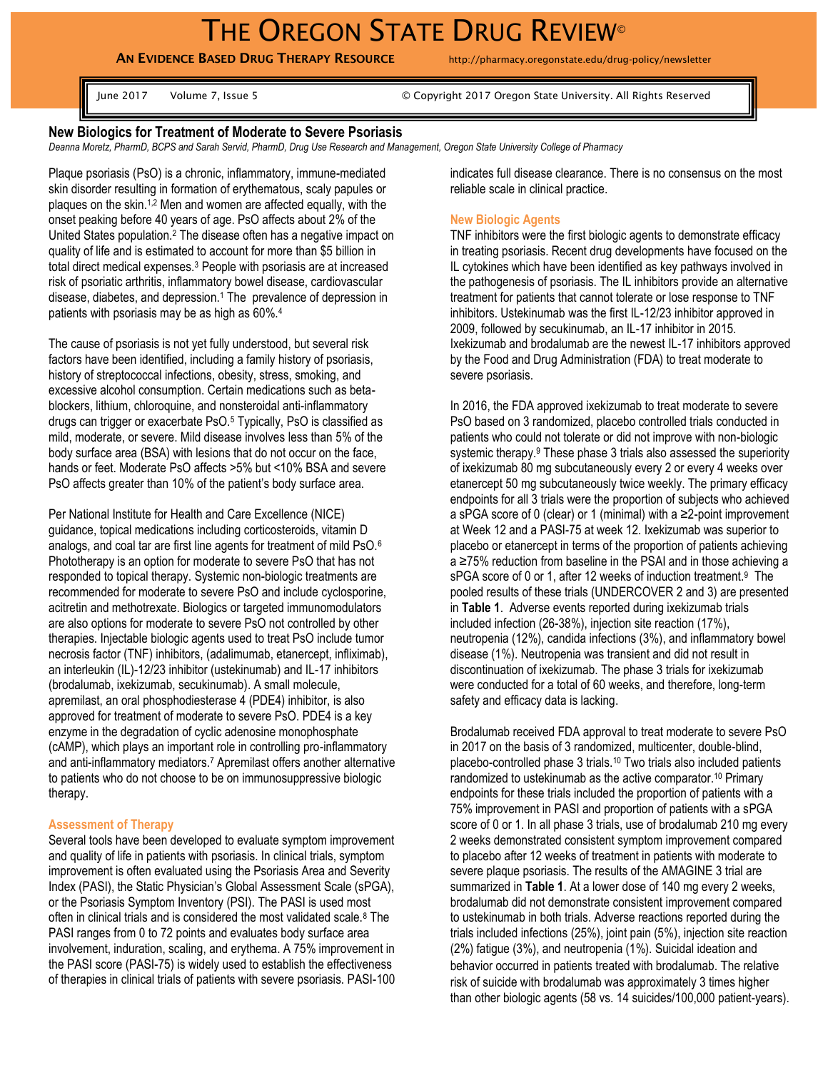# THE OREGON STATE DRUG REVIEW<sup>®</sup>

**AN EVIDENCE BASED DRUG THERAPY RESOURCE** http://pharmacy.oregonstate.edu/drug-policy/newsletter

June 2017 Volume 7, Issue 5 © Copyright 2017 Oregon State University. All Rights Reserved

## **New Biologics for Treatment of Moderate to Severe Psoriasis**

*Deanna Moretz, PharmD, BCPS and Sarah Servid, PharmD, Drug Use Research and Management, Oregon State University College of Pharmacy*

Plaque psoriasis (PsO) is a chronic, inflammatory, immune-mediated skin disorder resulting in formation of erythematous, scaly papules or plaques on the skin.1,2 Men and women are affected equally, with the onset peaking before 40 years of age. PsO affects about 2% of the United States population.<sup>2</sup> The disease often has a negative impact on quality of life and is estimated to account for more than \$5 billion in total direct medical expenses.<sup>3</sup> People with psoriasis are at increased risk of psoriatic arthritis, inflammatory bowel disease, cardiovascular disease, diabetes, and depression.<sup>1</sup> The prevalence of depression in patients with psoriasis may be as high as 60%.<sup>4</sup>

The cause of psoriasis is not yet fully understood, but several risk factors have been identified, including a family history of psoriasis, history of streptococcal infections, obesity, stress, smoking, and excessive alcohol consumption. Certain medications such as betablockers, lithium, chloroquine, and nonsteroidal anti-inflammatory drugs can trigger or exacerbate PsO.<sup>5</sup> Typically, PsO is classified as mild, moderate, or severe. Mild disease involves less than 5% of the body surface area (BSA) with lesions that do not occur on the face, hands or feet. Moderate PsO affects >5% but <10% BSA and severe PsO affects greater than 10% of the patient's body surface area.

Per National Institute for Health and Care Excellence (NICE) guidance, topical medications including corticosteroids, vitamin D analogs, and coal tar are first line agents for treatment of mild PsO.<sup>6</sup> Phototherapy is an option for moderate to severe PsO that has not responded to topical therapy. Systemic non-biologic treatments are recommended for moderate to severe PsO and include cyclosporine, acitretin and methotrexate. Biologics or targeted immunomodulators are also options for moderate to severe PsO not controlled by other therapies. Injectable biologic agents used to treat PsO include tumor necrosis factor (TNF) inhibitors, (adalimumab, etanercept, infliximab), an interleukin (IL)-12/23 inhibitor (ustekinumab) and IL-17 inhibitors (brodalumab, ixekizumab, secukinumab). A small molecule, apremilast, an oral phosphodiesterase 4 (PDE4) inhibitor, is also approved for treatment of moderate to severe PsO. PDE4 is a key enzyme in the degradation of cyclic adenosine monophosphate (cAMP), which plays an important role in controlling pro-inflammatory and anti-inflammatory mediators.<sup>7</sup> Apremilast offers another alternative to patients who do not choose to be on immunosuppressive biologic therapy.

## **Assessment of Therapy**

Several tools have been developed to evaluate symptom improvement and quality of life in patients with psoriasis. In clinical trials, symptom improvement is often evaluated using the Psoriasis Area and Severity Index (PASI), the Static Physician's Global Assessment Scale (sPGA), or the Psoriasis Symptom Inventory (PSI). The PASI is used most often in clinical trials and is considered the most validated scale.<sup>8</sup> The PASI ranges from 0 to 72 points and evaluates body surface area involvement, induration, scaling, and erythema. A 75% improvement in the PASI score (PASI-75) is widely used to establish the effectiveness of therapies in clinical trials of patients with severe psoriasis. PASI-100 indicates full disease clearance. There is no consensus on the most reliable scale in clinical practice.

## **New Biologic Agents**

TNF inhibitors were the first biologic agents to demonstrate efficacy in treating psoriasis. Recent drug developments have focused on the IL cytokines which have been identified as key pathways involved in the pathogenesis of psoriasis. The IL inhibitors provide an alternative treatment for patients that cannot tolerate or lose response to TNF inhibitors. Ustekinumab was the first IL-12/23 inhibitor approved in 2009, followed by secukinumab, an IL-17 inhibitor in 2015. Ixekizumab and brodalumab are the newest IL-17 inhibitors approved by the Food and Drug Administration (FDA) to treat moderate to severe psoriasis.

In 2016, the FDA approved ixekizumab to treat moderate to severe PsO based on 3 randomized, placebo controlled trials conducted in patients who could not tolerate or did not improve with non-biologic systemic therapy.<sup>9</sup> These phase 3 trials also assessed the superiority of ixekizumab 80 mg subcutaneously every 2 or every 4 weeks over etanercept 50 mg subcutaneously twice weekly. The primary efficacy endpoints for all 3 trials were the proportion of subjects who achieved a sPGA score of 0 (clear) or 1 (minimal) with a ≥2-point improvement at Week 12 and a PASI-75 at week 12. Ixekizumab was superior to placebo or etanercept in terms of the proportion of patients achieving a ≥75% reduction from baseline in the PSAI and in those achieving a sPGA score of 0 or 1, after 12 weeks of induction treatment.<sup>9</sup> The pooled results of these trials (UNDERCOVER 2 and 3) are presented in **Table 1**. Adverse events reported during ixekizumab trials included infection (26-38%), injection site reaction (17%), neutropenia (12%), candida infections (3%), and inflammatory bowel disease (1%). Neutropenia was transient and did not result in discontinuation of ixekizumab. The phase 3 trials for ixekizumab were conducted for a total of 60 weeks, and therefore, long-term safety and efficacy data is lacking.

Brodalumab received FDA approval to treat moderate to severe PsO in 2017 on the basis of 3 randomized, multicenter, double-blind, placebo-controlled phase 3 trials.<sup>10</sup> Two trials also included patients randomized to ustekinumab as the active comparator.<sup>10</sup> Primary endpoints for these trials included the proportion of patients with a 75% improvement in PASI and proportion of patients with a sPGA score of 0 or 1. In all phase 3 trials, use of brodalumab 210 mg every 2 weeks demonstrated consistent symptom improvement compared to placebo after 12 weeks of treatment in patients with moderate to severe plaque psoriasis. The results of the AMAGINE 3 trial are summarized in **Table 1**. At a lower dose of 140 mg every 2 weeks, brodalumab did not demonstrate consistent improvement compared to ustekinumab in both trials. Adverse reactions reported during the trials included infections (25%), joint pain (5%), injection site reaction (2%) fatigue (3%), and neutropenia (1%). Suicidal ideation and behavior occurred in patients treated with brodalumab. The relative risk of suicide with brodalumab was approximately 3 times higher than other biologic agents (58 vs. 14 suicides/100,000 patient-years).